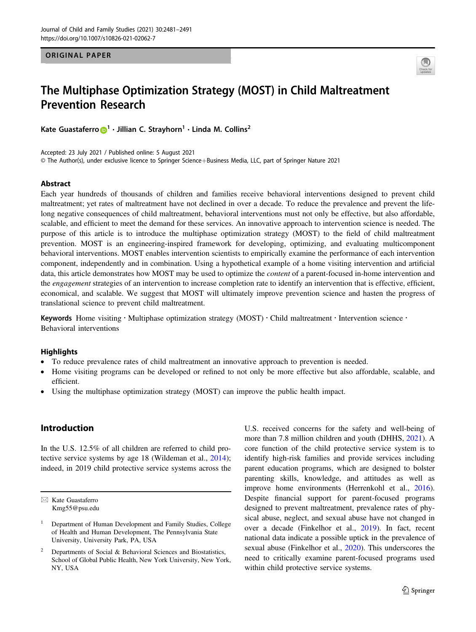ORIGINAL PAPER



# The Multiphase Optimization Strategy (MOST) in Child Maltreatment Prevention Research

Kate Guastaferr[o](http://orcid.org/0000-0002-5616-9708) $\bigcirc^1 \cdot$  $\bigcirc^1 \cdot$  $\bigcirc^1 \cdot$  Jillian C. Stravhorn $^1 \cdot$  Linda M. Collins<sup>2</sup>

Accepted: 23 July 2021 / Published online: 5 August 2021 © The Author(s), under exclusive licence to Springer Science+Business Media, LLC, part of Springer Nature 2021

## Abstract

Each year hundreds of thousands of children and families receive behavioral interventions designed to prevent child maltreatment; yet rates of maltreatment have not declined in over a decade. To reduce the prevalence and prevent the lifelong negative consequences of child maltreatment, behavioral interventions must not only be effective, but also affordable, scalable, and efficient to meet the demand for these services. An innovative approach to intervention science is needed. The purpose of this article is to introduce the multiphase optimization strategy (MOST) to the field of child maltreatment prevention. MOST is an engineering-inspired framework for developing, optimizing, and evaluating multicomponent behavioral interventions. MOST enables intervention scientists to empirically examine the performance of each intervention component, independently and in combination. Using a hypothetical example of a home visiting intervention and artificial data, this article demonstrates how MOST may be used to optimize the *content* of a parent-focused in-home intervention and the engagement strategies of an intervention to increase completion rate to identify an intervention that is effective, efficient, economical, and scalable. We suggest that MOST will ultimately improve prevention science and hasten the progress of translational science to prevent child maltreatment.

Keywords Home visiting · Multiphase optimization strategy (MOST) · Child maltreatment · Intervention science · Behavioral interventions

#### **Highlights**

- To reduce prevalence rates of child maltreatment an innovative approach to prevention is needed.
- Home visiting programs can be developed or refined to not only be more effective but also affordable, scalable, and efficient.
- Using the multiphase optimization strategy (MOST) can improve the public health impact.

# Introduction

In the U.S. 12.5% of all children are referred to child protective service systems by age 18 (Wildeman et al., [2014](#page-10-0)); indeed, in 2019 child protective service systems across the

 $\boxtimes$  Kate Guastaferro [Kmg55@psu.edu](mailto:Kmg55@psu.edu) U.S. received concerns for the safety and well-being of more than 7.8 million children and youth (DHHS, [2021\)](#page-10-0). A core function of the child protective service system is to identify high-risk families and provide services including parent education programs, which are designed to bolster parenting skills, knowledge, and attitudes as well as improve home environments (Herrenkohl et al., [2016\)](#page-10-0). Despite financial support for parent-focused programs designed to prevent maltreatment, prevalence rates of physical abuse, neglect, and sexual abuse have not changed in over a decade (Finkelhor et al., [2019\)](#page-10-0). In fact, recent national data indicate a possible uptick in the prevalence of sexual abuse (Finkelhor et al., [2020\)](#page-10-0). This underscores the need to critically examine parent-focused programs used within child protective service systems.

<sup>1</sup> Department of Human Development and Family Studies, College of Health and Human Development, The Pennsylvania State University, University Park, PA, USA

Departments of Social & Behavioral Sciences and Biostatistics, School of Global Public Health, New York University, New York, NY, USA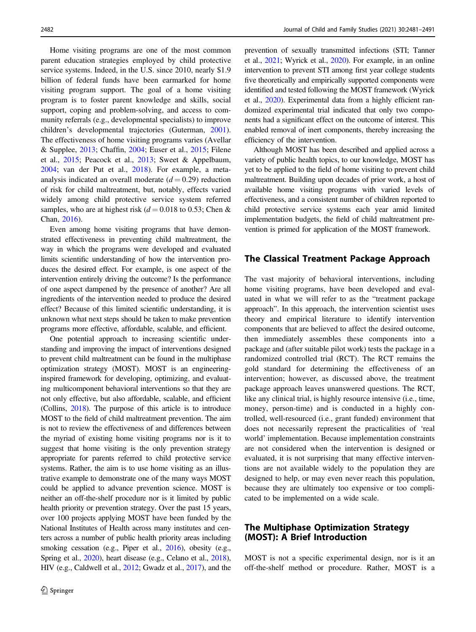Home visiting programs are one of the most common parent education strategies employed by child protective service systems. Indeed, in the U.S. since 2010, nearly \$1.9 billion of federal funds have been earmarked for home visiting program support. The goal of a home visiting program is to foster parent knowledge and skills, social support, coping and problem-solving, and access to community referrals (e.g., developmental specialists) to improve children's developmental trajectories (Guterman, [2001](#page-10-0)). The effectiveness of home visiting programs varies (Avellar & Supplee, [2013;](#page-9-0) Chaffin, [2004](#page-9-0); Euser et al., [2015;](#page-9-0) Filene et al., [2015](#page-10-0); Peacock et al., [2013](#page-10-0); Sweet & Appelbaum, [2004;](#page-10-0) van der Put et al., [2018](#page-10-0)). For example, a metaanalysis indicated an overall moderate  $(d = 0.29)$  reduction of risk for child maltreatment, but, notably, effects varied widely among child protective service system referred samples, who are at highest risk ( $d = 0.018$  to 0.53; Chen & Chan, [2016\)](#page-9-0).

Even among home visiting programs that have demonstrated effectiveness in preventing child maltreatment, the way in which the programs were developed and evaluated limits scientific understanding of how the intervention produces the desired effect. For example, is one aspect of the intervention entirely driving the outcome? Is the performance of one aspect dampened by the presence of another? Are all ingredients of the intervention needed to produce the desired effect? Because of this limited scientific understanding, it is unknown what next steps should be taken to make prevention programs more effective, affordable, scalable, and efficient.

One potential approach to increasing scientific understanding and improving the impact of interventions designed to prevent child maltreatment can be found in the multiphase optimization strategy (MOST). MOST is an engineeringinspired framework for developing, optimizing, and evaluating multicomponent behavioral interventions so that they are not only effective, but also affordable, scalable, and efficient (Collins, [2018\)](#page-9-0). The purpose of this article is to introduce MOST to the field of child maltreatment prevention. The aim is not to review the effectiveness of and differences between the myriad of existing home visiting programs nor is it to suggest that home visiting is the only prevention strategy appropriate for parents referred to child protective service systems. Rather, the aim is to use home visiting as an illustrative example to demonstrate one of the many ways MOST could be applied to advance prevention science. MOST is neither an off-the-shelf procedure nor is it limited by public health priority or prevention strategy. Over the past 15 years, over 100 projects applying MOST have been funded by the National Institutes of Health across many institutes and centers across a number of public health priority areas including smoking cessation (e.g., Piper et al., [2016\)](#page-10-0), obesity (e.g., Spring et al., [2020](#page-10-0)), heart disease (e.g., Celano et al., [2018\)](#page-9-0), HIV (e.g., Caldwell et al., [2012;](#page-9-0) Gwadz et al., [2017](#page-10-0)), and the prevention of sexually transmitted infections (STI; Tanner et al., [2021;](#page-10-0) Wyrick et al., [2020](#page-10-0)). For example, in an online intervention to prevent STI among first year college students five theoretically and empirically supported components were identified and tested following the MOST framework (Wyrick et al., [2020](#page-10-0)). Experimental data from a highly efficient randomized experimental trial indicated that only two components had a significant effect on the outcome of interest. This enabled removal of inert components, thereby increasing the efficiency of the intervention.

Although MOST has been described and applied across a variety of public health topics, to our knowledge, MOST has yet to be applied to the field of home visiting to prevent child maltreatment. Building upon decades of prior work, a host of available home visiting programs with varied levels of effectiveness, and a consistent number of children reported to child protective service systems each year amid limited implementation budgets, the field of child maltreatment prevention is primed for application of the MOST framework.

## The Classical Treatment Package Approach

The vast majority of behavioral interventions, including home visiting programs, have been developed and evaluated in what we will refer to as the "treatment package approach". In this approach, the intervention scientist uses theory and empirical literature to identify intervention components that are believed to affect the desired outcome, then immediately assembles these components into a package and (after suitable pilot work) tests the package in a randomized controlled trial (RCT). The RCT remains the gold standard for determining the effectiveness of an intervention; however, as discussed above, the treatment package approach leaves unanswered questions. The RCT, like any clinical trial, is highly resource intensive (i.e., time, money, person-time) and is conducted in a highly controlled, well-resourced (i.e., grant funded) environment that does not necessarily represent the practicalities of 'real world' implementation. Because implementation constraints are not considered when the intervention is designed or evaluated, it is not surprising that many effective interventions are not available widely to the population they are designed to help, or may even never reach this population, because they are ultimately too expensive or too complicated to be implemented on a wide scale.

# The Multiphase Optimization Strategy (MOST): A Brief Introduction

MOST is not a specific experimental design, nor is it an off-the-shelf method or procedure. Rather, MOST is a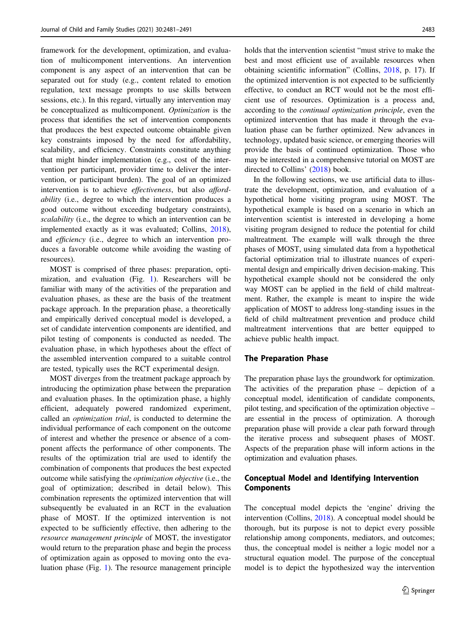framework for the development, optimization, and evaluation of multicomponent interventions. An intervention component is any aspect of an intervention that can be separated out for study (e.g., content related to emotion regulation, text message prompts to use skills between sessions, etc.). In this regard, virtually any intervention may be conceptualized as multicomponent. Optimization is the process that identifies the set of intervention components that produces the best expected outcome obtainable given key constraints imposed by the need for affordability, scalability, and efficiency. Constraints constitute anything that might hinder implementation (e.g., cost of the intervention per participant, provider time to deliver the intervention, or participant burden). The goal of an optimized intervention is to achieve *effectiveness*, but also *afford*ability (i.e., degree to which the intervention produces a good outcome without exceeding budgetary constraints), scalability (i.e., the degree to which an intervention can be implemented exactly as it was evaluated; Collins, [2018](#page-9-0)), and efficiency (i.e., degree to which an intervention produces a favorable outcome while avoiding the wasting of resources).

MOST is comprised of three phases: preparation, optimization, and evaluation (Fig. [1](#page-3-0)). Researchers will be familiar with many of the activities of the preparation and evaluation phases, as these are the basis of the treatment package approach. In the preparation phase, a theoretically and empirically derived conceptual model is developed, a set of candidate intervention components are identified, and pilot testing of components is conducted as needed. The evaluation phase, in which hypotheses about the effect of the assembled intervention compared to a suitable control are tested, typically uses the RCT experimental design.

MOST diverges from the treatment package approach by introducing the optimization phase between the preparation and evaluation phases. In the optimization phase, a highly efficient, adequately powered randomized experiment, called an optimization trial, is conducted to determine the individual performance of each component on the outcome of interest and whether the presence or absence of a component affects the performance of other components. The results of the optimization trial are used to identify the combination of components that produces the best expected outcome while satisfying the optimization objective (i.e., the goal of optimization; described in detail below). This combination represents the optimized intervention that will subsequently be evaluated in an RCT in the evaluation phase of MOST. If the optimized intervention is not expected to be sufficiently effective, then adhering to the resource management principle of MOST, the investigator would return to the preparation phase and begin the process of optimization again as opposed to moving onto the evaluation phase (Fig. [1](#page-3-0)). The resource management principle

holds that the intervention scientist "must strive to make the best and most efficient use of available resources when obtaining scientific information" (Collins, [2018](#page-9-0), p. 17). If the optimized intervention is not expected to be sufficiently effective, to conduct an RCT would not be the most efficient use of resources. Optimization is a process and, according to the continual optimization principle, even the optimized intervention that has made it through the evaluation phase can be further optimized. New advances in technology, updated basic science, or emerging theories will provide the basis of continued optimization. Those who may be interested in a comprehensive tutorial on MOST are directed to Collins' ([2018\)](#page-9-0) book.

In the following sections, we use artificial data to illustrate the development, optimization, and evaluation of a hypothetical home visiting program using MOST. The hypothetical example is based on a scenario in which an intervention scientist is interested in developing a home visiting program designed to reduce the potential for child maltreatment. The example will walk through the three phases of MOST, using simulated data from a hypothetical factorial optimization trial to illustrate nuances of experimental design and empirically driven decision-making. This hypothetical example should not be considered the only way MOST can be applied in the field of child maltreatment. Rather, the example is meant to inspire the wide application of MOST to address long-standing issues in the field of child maltreatment prevention and produce child maltreatment interventions that are better equipped to achieve public health impact.

## The Preparation Phase

The preparation phase lays the groundwork for optimization. The activities of the preparation phase – depiction of a conceptual model, identification of candidate components, pilot testing, and specification of the optimization objective – are essential in the process of optimization. A thorough preparation phase will provide a clear path forward through the iterative process and subsequent phases of MOST. Aspects of the preparation phase will inform actions in the optimization and evaluation phases.

## Conceptual Model and Identifying Intervention Components

The conceptual model depicts the 'engine' driving the intervention (Collins, [2018\)](#page-9-0). A conceptual model should be thorough, but its purpose is not to depict every possible relationship among components, mediators, and outcomes; thus, the conceptual model is neither a logic model nor a structural equation model. The purpose of the conceptual model is to depict the hypothesized way the intervention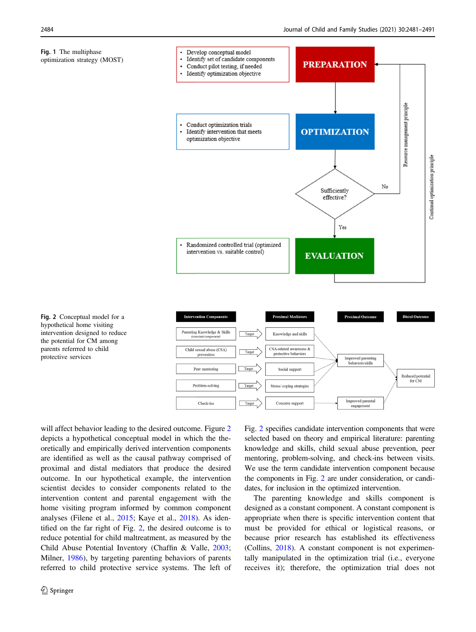<span id="page-3-0"></span>



Fig. 2 Conceptual model for a hypothetical home visiting intervention designed to reduce the potential for CM among parents referrred to child protective services

will affect behavior leading to the desired outcome. Figure 2 depicts a hypothetical conceptual model in which the theoretically and empirically derived intervention components are identified as well as the causal pathway comprised of proximal and distal mediators that produce the desired outcome. In our hypothetical example, the intervention scientist decides to consider components related to the intervention content and parental engagement with the home visiting program informed by common component analyses (Filene et al., [2015;](#page-10-0) Kaye et al., [2018\)](#page-10-0). As identified on the far right of Fig. 2, the desired outcome is to reduce potential for child maltreatment, as measured by the Child Abuse Potential Inventory (Chaffin & Valle, [2003](#page-9-0); Milner, [1986\)](#page-10-0), by targeting parenting behaviors of parents referred to child protective service systems. The left of Fig. 2 specifies candidate intervention components that were selected based on theory and empirical literature: parenting knowledge and skills, child sexual abuse prevention, peer mentoring, problem-solving, and check-ins between visits. We use the term candidate intervention component because the components in Fig. 2 are under consideration, or candidates, for inclusion in the optimized intervention.

The parenting knowledge and skills component is designed as a constant component. A constant component is appropriate when there is specific intervention content that must be provided for ethical or logistical reasons, or because prior research has established its effectiveness (Collins, [2018\)](#page-9-0). A constant component is not experimentally manipulated in the optimization trial (i.e., everyone receives it); therefore, the optimization trial does not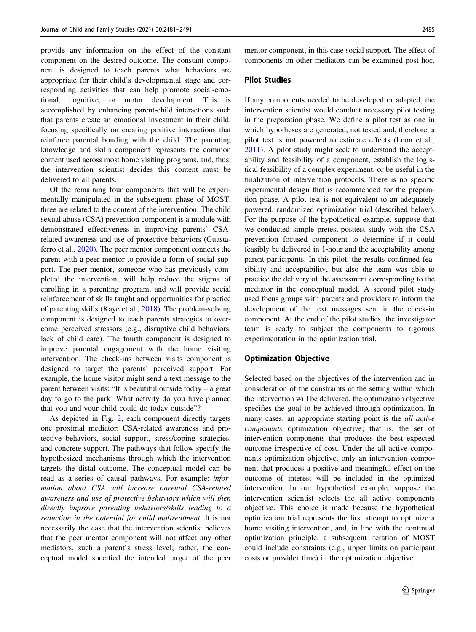provide any information on the effect of the constant component on the desired outcome. The constant component is designed to teach parents what behaviors are appropriate for their child's developmental stage and corresponding activities that can help promote social-emotional, cognitive, or motor development. This is accomplished by enhancing parent-child interactions such that parents create an emotional investment in their child, focusing specifically on creating positive interactions that reinforce parental bonding with the child. The parenting knowledge and skills component represents the common content used across most home visiting programs, and, thus, the intervention scientist decides this content must be delivered to all parents.

Of the remaining four components that will be experimentally manipulated in the subsequent phase of MOST, three are related to the content of the intervention. The child sexual abuse (CSA) prevention component is a module with demonstrated effectiveness in improving parents' CSArelated awareness and use of protective behaviors (Guastaferro et al., [2020\)](#page-10-0). The peer mentor component connects the parent with a peer mentor to provide a form of social support. The peer mentor, someone who has previously completed the intervention, will help reduce the stigma of enrolling in a parenting program, and will provide social reinforcement of skills taught and opportunities for practice of parenting skills (Kaye et al., [2018](#page-10-0)). The problem-solving component is designed to teach parents strategies to overcome perceived stressors (e.g., disruptive child behaviors, lack of child care). The fourth component is designed to improve parental engagement with the home visiting intervention. The check-ins between visits component is designed to target the parents' perceived support. For example, the home visitor might send a text message to the parent between visits: "It is beautiful outside today – a great day to go to the park! What activity do you have planned that you and your child could do today outside"?

As depicted in Fig. [2,](#page-3-0) each component directly targets one proximal mediator: CSA-related awareness and protective behaviors, social support, stress/coping strategies, and concrete support. The pathways that follow specify the hypothesized mechanisms through which the intervention targets the distal outcome. The conceptual model can be read as a series of causal pathways. For example: information about CSA will increase parental CSA-related awareness and use of protective behaviors which will then directly improve parenting behaviors/skills leading to a reduction in the potential for child maltreatment. It is not necessarily the case that the intervention scientist believes that the peer mentor component will not affect any other mediators, such a parent's stress level; rather, the conceptual model specified the intended target of the peer

mentor component, in this case social support. The effect of components on other mediators can be examined post hoc.

#### Pilot Studies

If any components needed to be developed or adapted, the intervention scientist would conduct necessary pilot testing in the preparation phase. We define a pilot test as one in which hypotheses are generated, not tested and, therefore, a pilot test is not powered to estimate effects (Leon et al., [2011](#page-10-0)). A pilot study might seek to understand the acceptability and feasibility of a component, establish the logistical feasibility of a complex experiment, or be useful in the finalization of intervention protocols. There is no specific experimental design that is recommended for the preparation phase. A pilot test is not equivalent to an adequately powered, randomized optimization trial (described below). For the purpose of the hypothetical example, suppose that we conducted simple pretest-posttest study with the CSA prevention focused component to determine if it could feasibly be delivered in 1-hour and the acceptability among parent participants. In this pilot, the results confirmed feasibility and acceptability, but also the team was able to practice the delivery of the assessment corresponding to the mediator in the conceptual model. A second pilot study used focus groups with parents and providers to inform the development of the text messages sent in the check-in component. At the end of the pilot studies, the investigator team is ready to subject the components to rigorous experimentation in the optimization trial.

#### Optimization Objective

Selected based on the objectives of the intervention and in consideration of the constraints of the setting within which the intervention will be delivered, the optimization objective specifies the goal to be achieved through optimization. In many cases, an appropriate starting point is the all active components optimization objective; that is, the set of intervention components that produces the best expected outcome irrespective of cost. Under the all active components optimization objective, only an intervention component that produces a positive and meaningful effect on the outcome of interest will be included in the optimized intervention. In our hypothetical example, suppose the intervention scientist selects the all active components objective. This choice is made because the hypothetical optimization trial represents the first attempt to optimize a home visiting intervention, and, in line with the continual optimization principle, a subsequent iteration of MOST could include constraints (e.g., upper limits on participant costs or provider time) in the optimization objective.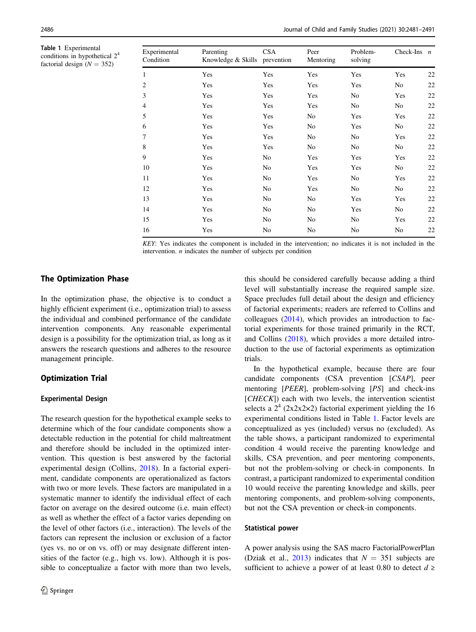<span id="page-5-0"></span>Table 1 Experimental conditions in hypothetical 24 factorial design  $(N = 352)$ 

| Experimental<br>Condition | Parenting<br>Knowledge & Skills prevention | CSA | Peer<br>Mentoring | Problem-<br>solving | Check-Ins $n$ |    |
|---------------------------|--------------------------------------------|-----|-------------------|---------------------|---------------|----|
| 1                         | Yes                                        | Yes | Yes               | Yes                 | Yes           | 22 |
| 2                         | Yes                                        | Yes | Yes               | Yes                 | No            | 22 |
| 3                         | Yes                                        | Yes | Yes               | No                  | Yes           | 22 |
| $\overline{4}$            | Yes                                        | Yes | Yes               | No                  | No            | 22 |
| 5                         | Yes                                        | Yes | No                | Yes                 | Yes           | 22 |
| 6                         | Yes                                        | Yes | No                | Yes                 | No            | 22 |
| 7                         | Yes                                        | Yes | No                | No                  | Yes           | 22 |
| 8                         | Yes                                        | Yes | No                | No                  | No            | 22 |
| 9                         | Yes                                        | No  | Yes               | Yes                 | Yes           | 22 |
| 10                        | Yes                                        | No  | Yes               | Yes                 | No            | 22 |
| 11                        | Yes                                        | No  | Yes               | No                  | Yes           | 22 |
| 12                        | Yes                                        | No  | Yes               | No                  | No            | 22 |
| 13                        | Yes                                        | No  | No                | Yes                 | Yes           | 22 |
| 14                        | Yes                                        | No  | No                | Yes                 | No            | 22 |
| 15                        | Yes                                        | No  | No                | No                  | Yes           | 22 |
| 16                        | Yes                                        | No  | No                | No                  | No            | 22 |

KEY: Yes indicates the component is included in the intervention; no indicates it is not included in the intervention.  $n$  indicates the number of subjects per condition

## The Optimization Phase

In the optimization phase, the objective is to conduct a highly efficient experiment (i.e., optimization trial) to assess the individual and combined performance of the candidate intervention components. Any reasonable experimental design is a possibility for the optimization trial, as long as it answers the research questions and adheres to the resource management principle.

## Optimization Trial

#### Experimental Design

The research question for the hypothetical example seeks to determine which of the four candidate components show a detectable reduction in the potential for child maltreatment and therefore should be included in the optimized intervention. This question is best answered by the factorial experimental design (Collins, [2018\)](#page-9-0). In a factorial experiment, candidate components are operationalized as factors with two or more levels. These factors are manipulated in a systematic manner to identify the individual effect of each factor on average on the desired outcome (i.e. main effect) as well as whether the effect of a factor varies depending on the level of other factors (i.e., interaction). The levels of the factors can represent the inclusion or exclusion of a factor (yes vs. no or on vs. off) or may designate different intensities of the factor (e.g., high vs. low). Although it is possible to conceptualize a factor with more than two levels,

this should be considered carefully because adding a third level will substantially increase the required sample size. Space precludes full detail about the design and efficiency of factorial experiments; readers are referred to Collins and colleagues  $(2014)$  $(2014)$ , which provides an introduction to factorial experiments for those trained primarily in the RCT, and Collins ([2018\)](#page-9-0), which provides a more detailed introduction to the use of factorial experiments as optimization trials.

In the hypothetical example, because there are four candidate components (CSA prevention [CSAP], peer mentoring [PEER], problem-solving [PS] and check-ins  $[CHECK]$ ) each with two levels, the intervention scientist selects a  $2^4$  (2x2x2×2) factorial experiment yielding the 16 experimental conditions listed in Table 1. Factor levels are conceptualized as yes (included) versus no (excluded). As the table shows, a participant randomized to experimental condition 4 would receive the parenting knowledge and skills, CSA prevention, and peer mentoring components, but not the problem-solving or check-in components. In contrast, a participant randomized to experimental condition 10 would receive the parenting knowledge and skills, peer mentoring components, and problem-solving components, but not the CSA prevention or check-in components.

#### Statistical power

A power analysis using the SAS macro FactorialPowerPlan (Dziak et al., [2013\)](#page-9-0) indicates that  $N = 351$  subjects are sufficient to achieve a power of at least 0.80 to detect  $d \geq$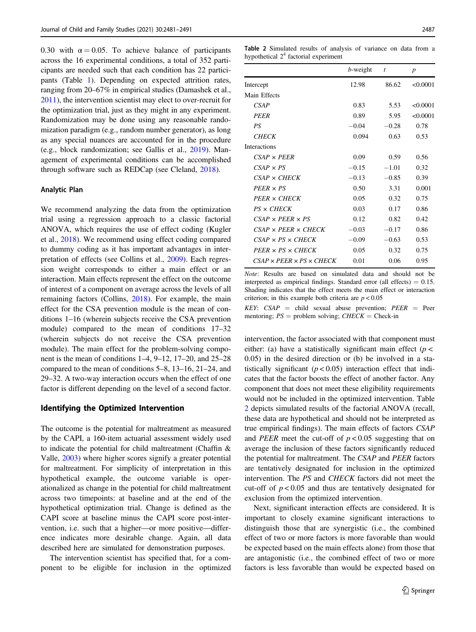<span id="page-6-0"></span>0.30 with  $\alpha = 0.05$ . To achieve balance of participants across the 16 experimental conditions, a total of 352 participants are needed such that each condition has 22 participants (Table [1](#page-5-0)). Depending on expected attrition rates, ranging from 20–67% in empirical studies (Damashek et al., [2011\)](#page-9-0), the intervention scientist may elect to over-recruit for the optimization trial, just as they might in any experiment. Randomization may be done using any reasonable randomization paradigm (e.g., random number generator), as long as any special nuances are accounted for in the procedure (e.g., block randomization; see Gallis et al., [2019\)](#page-10-0). Management of experimental conditions can be accomplished through software such as REDCap (see Cleland, [2018](#page-9-0)).

#### Analytic Plan

We recommend analyzing the data from the optimization trial using a regression approach to a classic factorial ANOVA, which requires the use of effect coding (Kugler et al., [2018\)](#page-10-0). We recommend using effect coding compared to dummy coding as it has important advantages in interpretation of effects (see Collins et al., [2009](#page-9-0)). Each regression weight corresponds to either a main effect or an interaction. Main effects represent the effect on the outcome of interest of a component on average across the levels of all remaining factors (Collins, [2018\)](#page-9-0). For example, the main effect for the CSA prevention module is the mean of conditions 1–16 (wherein subjects receive the CSA prevention module) compared to the mean of conditions 17–32 (wherein subjects do not receive the CSA prevention module). The main effect for the problem-solving component is the mean of conditions 1–4, 9–12, 17–20, and 25–28 compared to the mean of conditions 5–8, 13–16, 21–24, and 29–32. A two-way interaction occurs when the effect of one factor is different depending on the level of a second factor.

#### Identifying the Optimized Intervention

The outcome is the potential for maltreatment as measured by the CAPI, a 160-item actuarial assessment widely used to indicate the potential for child maltreatment (Chaffin & Valle, [2003\)](#page-9-0) where higher scores signify a greater potential for maltreatment. For simplicity of interpretation in this hypothetical example, the outcome variable is operationalized as change in the potential for child maltreatment across two timepoints: at baseline and at the end of the hypothetical optimization trial. Change is defined as the CAPI score at baseline minus the CAPI score post-intervention, i.e. such that a higher—or more positive—difference indicates more desirable change. Again, all data described here are simulated for demonstration purposes.

The intervention scientist has specified that, for a component to be eligible for inclusion in the optimized

Table 2 Simulated results of analysis of variance on data from a hypothetical  $2<sup>4</sup>$  factorial experiment

|                                           | $b$ -weight | t       | $\boldsymbol{p}$ |
|-------------------------------------------|-------------|---------|------------------|
| Intercept                                 | 12.98       | 86.62   | < 0.0001         |
| Main Effects                              |             |         |                  |
| CSAP                                      | 0.83        | 5.53    | < 0.0001         |
| <b>PEER</b>                               | 0.89        | 5.95    | < 0.0001         |
| PS                                        | $-0.04$     | $-0.28$ | 0.78             |
| <b>CHECK</b>                              | 0.094       | 0.63    | 0.53             |
| <b>Interactions</b>                       |             |         |                  |
| $CSAP \times PFER$                        | 0.09        | 0.59    | 0.56             |
| $CSAP \times PS$                          | $-0.15$     | $-1.01$ | 0.32             |
| $CSAP \times CHECK$                       | $-0.13$     | $-0.85$ | 0.39             |
| $PEER \times PS$                          | 0.50        | 3.31    | 0.001            |
| $PEER \times CHECK$                       | 0.05        | 0.32    | 0.75             |
| PS × CHECK                                | 0.03        | 0.17    | 0.86             |
| $CSAP \times PFER \times PS$              | 0.12        | 0.82    | 0.42             |
| $CSAP \times PFER \times CHECK$           | $-0.03$     | $-0.17$ | 0.86             |
| $CSAP \times PS \times CHECK$             | $-0.09$     | $-0.63$ | 0.53             |
| $PEER \times PS \times CHECK$             | 0.05        | 0.32    | 0.75             |
| $CSAP \times PFER \times PS \times CHECK$ | 0.01        | 0.06    | 0.95             |

Note: Results are based on simulated data and should not be interpreted as empirical findings. Standard error (all effects)  $= 0.15$ . Shading indicates that the effect meets the main effect or interaction criterion; in this example both criteria are  $p < 0.05$ 

KEY:  $CSAP = child$  sexual abuse prevention;  $PEER = Peer$ mentoring;  $PS =$  problem solving;  $CHECK =$  Check-in

intervention, the factor associated with that component must either: (a) have a statistically significant main effect ( $p$  < 0.05) in the desired direction or (b) be involved in a statistically significant  $(p < 0.05)$  interaction effect that indicates that the factor boosts the effect of another factor. Any component that does not meet these eligibility requirements would not be included in the optimized intervention. Table 2 depicts simulated results of the factorial ANOVA (recall, these data are hypothetical and should not be interpreted as true empirical findings). The main effects of factors CSAP and *PEER* meet the cut-off of  $p < 0.05$  suggesting that on average the inclusion of these factors significantly reduced the potential for maltreatment. The CSAP and PEER factors are tentatively designated for inclusion in the optimized intervention. The PS and CHECK factors did not meet the cut-off of  $p < 0.05$  and thus are tentatively designated for exclusion from the optimized intervention.

Next, significant interaction effects are considered. It is important to closely examine significant interactions to distinguish those that are synergistic (i.e., the combined effect of two or more factors is more favorable than would be expected based on the main effects alone) from those that are antagonistic (i.e., the combined effect of two or more factors is less favorable than would be expected based on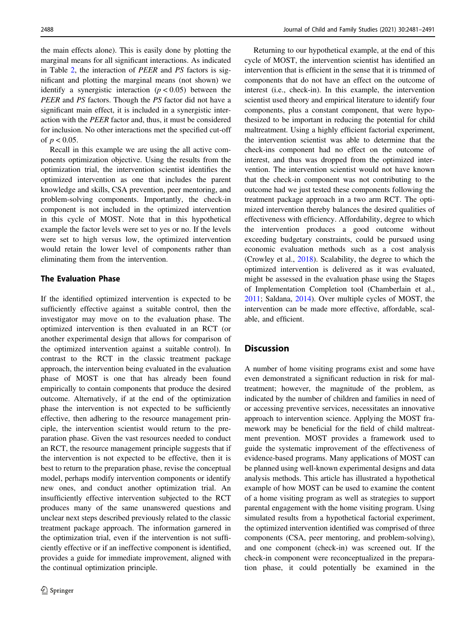the main effects alone). This is easily done by plotting the marginal means for all significant interactions. As indicated in Table [2,](#page-6-0) the interaction of PEER and PS factors is significant and plotting the marginal means (not shown) we identify a synergistic interaction  $(p < 0.05)$  between the PEER and PS factors. Though the PS factor did not have a significant main effect, it is included in a synergistic interaction with the PEER factor and, thus, it must be considered for inclusion. No other interactions met the specified cut-off of  $p < 0.05$ .

Recall in this example we are using the all active components optimization objective. Using the results from the optimization trial, the intervention scientist identifies the optimized intervention as one that includes the parent knowledge and skills, CSA prevention, peer mentoring, and problem-solving components. Importantly, the check-in component is not included in the optimized intervention in this cycle of MOST. Note that in this hypothetical example the factor levels were set to yes or no. If the levels were set to high versus low, the optimized intervention would retain the lower level of components rather than eliminating them from the intervention.

## The Evaluation Phase

If the identified optimized intervention is expected to be sufficiently effective against a suitable control, then the investigator may move on to the evaluation phase. The optimized intervention is then evaluated in an RCT (or another experimental design that allows for comparison of the optimized intervention against a suitable control). In contrast to the RCT in the classic treatment package approach, the intervention being evaluated in the evaluation phase of MOST is one that has already been found empirically to contain components that produce the desired outcome. Alternatively, if at the end of the optimization phase the intervention is not expected to be sufficiently effective, then adhering to the resource management principle, the intervention scientist would return to the preparation phase. Given the vast resources needed to conduct an RCT, the resource management principle suggests that if the intervention is not expected to be effective, then it is best to return to the preparation phase, revise the conceptual model, perhaps modify intervention components or identify new ones, and conduct another optimization trial. An insufficiently effective intervention subjected to the RCT produces many of the same unanswered questions and unclear next steps described previously related to the classic treatment package approach. The information garnered in the optimization trial, even if the intervention is not sufficiently effective or if an ineffective component is identified, provides a guide for immediate improvement, aligned with the continual optimization principle.

Returning to our hypothetical example, at the end of this cycle of MOST, the intervention scientist has identified an intervention that is efficient in the sense that it is trimmed of components that do not have an effect on the outcome of interest (i.e., check-in). In this example, the intervention scientist used theory and empirical literature to identify four components, plus a constant component, that were hypothesized to be important in reducing the potential for child maltreatment. Using a highly efficient factorial experiment, the intervention scientist was able to determine that the check-ins component had no effect on the outcome of interest, and thus was dropped from the optimized intervention. The intervention scientist would not have known that the check-in component was not contributing to the outcome had we just tested these components following the treatment package approach in a two arm RCT. The optimized intervention thereby balances the desired qualities of effectiveness with efficiency. Affordability, degree to which the intervention produces a good outcome without exceeding budgetary constraints, could be pursued using economic evaluation methods such as a cost analysis (Crowley et al., [2018](#page-9-0)). Scalability, the degree to which the optimized intervention is delivered as it was evaluated, might be assessed in the evaluation phase using the Stages of Implementation Completion tool (Chamberlain et al., [2011](#page-9-0); Saldana, [2014\)](#page-10-0). Over multiple cycles of MOST, the intervention can be made more effective, affordable, scalable, and efficient.

# **Discussion**

A number of home visiting programs exist and some have even demonstrated a significant reduction in risk for maltreatment; however, the magnitude of the problem, as indicated by the number of children and families in need of or accessing preventive services, necessitates an innovative approach to intervention science. Applying the MOST framework may be beneficial for the field of child maltreatment prevention. MOST provides a framework used to guide the systematic improvement of the effectiveness of evidence-based programs. Many applications of MOST can be planned using well-known experimental designs and data analysis methods. This article has illustrated a hypothetical example of how MOST can be used to examine the content of a home visiting program as well as strategies to support parental engagement with the home visiting program. Using simulated results from a hypothetical factorial experiment, the optimized intervention identified was comprised of three components (CSA, peer mentoring, and problem-solving), and one component (check-in) was screened out. If the check-in component were reconceptualized in the preparation phase, it could potentially be examined in the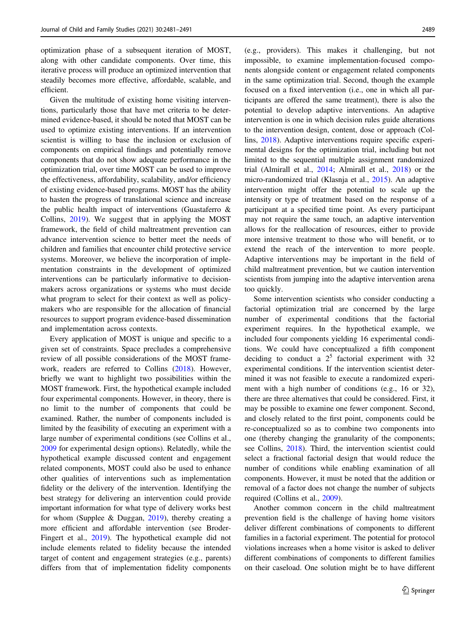optimization phase of a subsequent iteration of MOST, along with other candidate components. Over time, this iterative process will produce an optimized intervention that steadily becomes more effective, affordable, scalable, and efficient.

Given the multitude of existing home visiting interventions, particularly those that have met criteria to be determined evidence-based, it should be noted that MOST can be used to optimize existing interventions. If an intervention scientist is willing to base the inclusion or exclusion of components on empirical findings and potentially remove components that do not show adequate performance in the optimization trial, over time MOST can be used to improve the effectiveness, affordability, scalability, and/or efficiency of existing evidence-based programs. MOST has the ability to hasten the progress of translational science and increase the public health impact of interventions (Guastaferro & Collins, [2019](#page-10-0)). We suggest that in applying the MOST framework, the field of child maltreatment prevention can advance intervention science to better meet the needs of children and families that encounter child protective service systems. Moreover, we believe the incorporation of implementation constraints in the development of optimized interventions can be particularly informative to decisionmakers across organizations or systems who must decide what program to select for their context as well as policymakers who are responsible for the allocation of financial resources to support program evidence-based dissemination and implementation across contexts.

Every application of MOST is unique and specific to a given set of constraints. Space precludes a comprehensive review of all possible considerations of the MOST framework, readers are referred to Collins ([2018\)](#page-9-0). However, briefly we want to highlight two possibilities within the MOST framework. First, the hypothetical example included four experimental components. However, in theory, there is no limit to the number of components that could be examined. Rather, the number of components included is limited by the feasibility of executing an experiment with a large number of experimental conditions (see Collins et al., [2009](#page-9-0) for experimental design options). Relatedly, while the hypothetical example discussed content and engagement related components, MOST could also be used to enhance other qualities of interventions such as implementation fidelity or the delivery of the intervention. Identifying the best strategy for delivering an intervention could provide important information for what type of delivery works best for whom (Supplee & Duggan, [2019](#page-10-0)), thereby creating a more efficient and affordable intervention (see Broder-Fingert et al., [2019](#page-9-0)). The hypothetical example did not include elements related to fidelity because the intended target of content and engagement strategies (e.g., parents) differs from that of implementation fidelity components (e.g., providers). This makes it challenging, but not impossible, to examine implementation-focused components alongside content or engagement related components in the same optimization trial. Second, though the example focused on a fixed intervention (i.e., one in which all participants are offered the same treatment), there is also the potential to develop adaptive interventions. An adaptive intervention is one in which decision rules guide alterations to the intervention design, content, dose or approach (Collins, [2018\)](#page-9-0). Adaptive interventions require specific experimental designs for the optimization trial, including but not limited to the sequential multiple assignment randomized trial (Almirall et al., [2014;](#page-9-0) Almirall et al., [2018](#page-9-0)) or the micro-randomized trial (Klasnja et al., [2015\)](#page-10-0). An adaptive intervention might offer the potential to scale up the intensity or type of treatment based on the response of a participant at a specified time point. As every participant may not require the same touch, an adaptive intervention allows for the reallocation of resources, either to provide more intensive treatment to those who will benefit, or to extend the reach of the intervention to more people. Adaptive interventions may be important in the field of child maltreatment prevention, but we caution intervention scientists from jumping into the adaptive intervention arena too quickly.

Some intervention scientists who consider conducting a factorial optimization trial are concerned by the large number of experimental conditions that the factorial experiment requires. In the hypothetical example, we included four components yielding 16 experimental conditions. We could have conceptualized a fifth component deciding to conduct a  $2^5$  factorial experiment with 32 experimental conditions. If the intervention scientist determined it was not feasible to execute a randomized experiment with a high number of conditions (e.g., 16 or 32), there are three alternatives that could be considered. First, it may be possible to examine one fewer component. Second, and closely related to the first point, components could be re-conceptualized so as to combine two components into one (thereby changing the granularity of the components; see Collins, [2018](#page-9-0)). Third, the intervention scientist could select a fractional factorial design that would reduce the number of conditions while enabling examination of all components. However, it must be noted that the addition or removal of a factor does not change the number of subjects required (Collins et al., [2009](#page-9-0)).

Another common concern in the child maltreatment prevention field is the challenge of having home visitors deliver different combinations of components to different families in a factorial experiment. The potential for protocol violations increases when a home visitor is asked to deliver different combinations of components to different families on their caseload. One solution might be to have different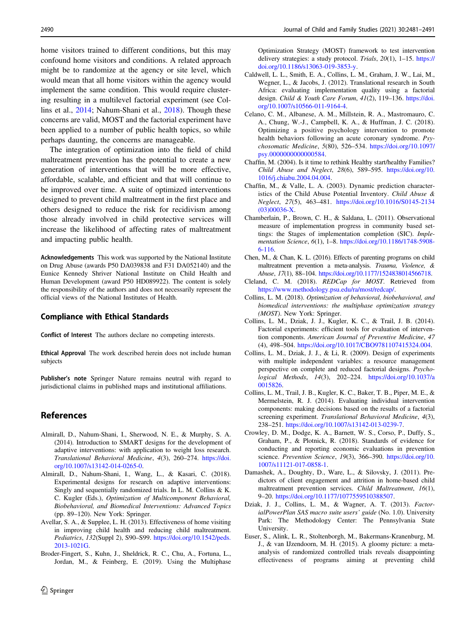<span id="page-9-0"></span>home visitors trained to different conditions, but this may confound home visitors and conditions. A related approach might be to randomize at the agency or site level, which would mean that all home visitors within the agency would implement the same condition. This would require clustering resulting in a multilevel factorial experiment (see Collins et al., 2014; Nahum-Shani et al., [2018](#page-10-0)). Though these concerns are valid, MOST and the factorial experiment have been applied to a number of public health topics, so while perhaps daunting, the concerns are manageable.

The integration of optimization into the field of child maltreatment prevention has the potential to create a new generation of interventions that will be more effective, affordable, scalable, and efficient and that will continue to be improved over time. A suite of optimized interventions designed to prevent child maltreatment in the first place and others designed to reduce the risk for recidivism among those already involved in child protective services will increase the likelihood of affecting rates of maltreatment and impacting public health.

Acknowledgements This work was supported by the National Institute on Drug Abuse (awards P50 DA039838 and F31 DA052140) and the Eunice Kennedy Shriver National Institute on Child Health and Human Development (award P50 HD089922). The content is solely the responsibility of the authors and does not necessarily represent the official views of the National Institutes of Health.

#### Compliance with Ethical Standards

Conflict of Interest The authors declare no competing interests.

Ethical Approval The work described herein does not include human subjects

Publisher's note Springer Nature remains neutral with regard to jurisdictional claims in published maps and institutional affiliations.

## References

- Almirall, D., Nahum-Shani, I., Sherwood, N. E., & Murphy, S. A. (2014). Introduction to SMART designs for the development of adaptive interventions: with application to weight loss research. Translational Behavioral Medicine, 4(3), 260–274. [https://doi.](https://doi.org/10.1007/s13142-014-0265-0) [org/10.1007/s13142-014-0265-0.](https://doi.org/10.1007/s13142-014-0265-0)
- Almirall, D., Nahum-Shani, I., Wang, L., & Kasari, C. (2018). Experimental designs for research on adaptive interventions: Singly and sequentially randomized trials. In L. M. Collins & K. C. Kugler (Eds.), Optimization of Multicomponent Behavioral, Biobehavioral, and Biomedical Interventions: Advanced Topics (pp. 89–120). New York: Springer.
- Avellar, S. A., & Supplee, L. H. (2013). Effectiveness of home visiting in improving child health and reducing child maltreatment. Pediatrics, 132(Suppl 2), S90–S99. [https://doi.org/10.1542/peds.](https://doi.org/10.1542/peds.2013-1021G) [2013-1021G.](https://doi.org/10.1542/peds.2013-1021G)
- Broder-Fingert, S., Kuhn, J., Sheldrick, R. C., Chu, A., Fortuna, L., Jordan, M., & Feinberg, E. (2019). Using the Multiphase

Optimization Strategy (MOST) framework to test intervention delivery strategies: a study protocol. Trials, 20(1), 1–15. [https://](https://doi.org/10.1186/s13063-019-3853-y) [doi.org/10.1186/s13063-019-3853-y.](https://doi.org/10.1186/s13063-019-3853-y)

- Caldwell, L. L., Smith, E. A., Collins, L. M., Graham, J. W., Lai, M., Wegner, L., & Jacobs, J. (2012). Translational research in South Africa: evaluating implementation quality using a factorial design. Child & Youth Care Forum, 41(2), 119-136. [https://doi.](https://doi.org/10.1007/s10566-011-9164-4) [org/10.1007/s10566-011-9164-4.](https://doi.org/10.1007/s10566-011-9164-4)
- Celano, C. M., Albanese, A. M., Millstein, R. A., Mastromauro, C. A., Chung, W.-J., Campbell, K. A., & Huffman, J. C. (2018). Optimizing a positive psychology intervention to promote health behaviors following an acute coronary syndrome. Psychosomatic Medicine, 5(80), 526–534. [https://doi.org/10.1097/](https://doi.org/10.1097/psy.0000000000000584) [psy.0000000000000584](https://doi.org/10.1097/psy.0000000000000584).
- Chaffin, M. (2004). Is it time to rethink Healthy start/healthy Families? Child Abuse and Neglect, 28(6), 589–595. [https://doi.org/10.](https://doi.org/10.1016/j.chiabu.2004.04.004) [1016/j.chiabu.2004.04.004.](https://doi.org/10.1016/j.chiabu.2004.04.004)
- Chaffin, M., & Valle, L. A. (2003). Dynamic prediction characteristics of the Child Abuse Potential Inventory. Child Abuse & Neglect, 27(5), 463–481. [https://doi.org/10.1016/S0145-2134](https://doi.org/10.1016/S0145-2134(03)00036-X) [\(03\)00036-X.](https://doi.org/10.1016/S0145-2134(03)00036-X)
- Chamberlain, P., Brown, C. H., & Saldana, L. (2011). Observational measure of implementation progress in community based settings: the Stages of implementation completion (SIC). Implementation Science, 6(1), 1–8. [https://doi.org/10.1186/1748-5908-](https://doi.org/10.1186/1748-5908-6-116) [6-116.](https://doi.org/10.1186/1748-5908-6-116)
- Chen, M., & Chan, K. L. (2016). Effects of parenting programs on child maltreatment prevention a meta-analysis. Trauma, Violence, & Abuse, 17(1), 88–104. <https://doi.org/10.1177/1524838014566718>.
- Cleland, C. M. (2018). REDCap for MOST. Retrieved from [https://www.methodology.psu.edu/ra/most/redcap/.](https://www.methodology.psu.edu/ra/most/redcap/)
- Collins, L. M. (2018). Optimization of behavioral, biobehavioral, and biomedical interventions: the multiphase optimization strategy (MOST). New York: Springer.
- Collins, L. M., Dziak, J. J., Kugler, K. C., & Trail, J. B. (2014). Factorial experiments: efficient tools for evaluation of intervention components. American Journal of Preventive Medicine, 47 (4), 498–504. <https://doi.org/10.1017/CBO9781107415324.004>.
- Collins, L. M., Dziak, J. J., & Li, R. (2009). Design of experiments with multiple independent variables: a resource management perspective on complete and reduced factorial designs. Psychological Methods, 14(3), 202–224. [https://doi.org/10.1037/a](https://doi.org/10.1037/a0015826) [0015826.](https://doi.org/10.1037/a0015826)
- Collins, L. M., Trail, J. B., Kugler, K. C., Baker, T. B., Piper, M. E., & Mermelstein, R. J. (2014). Evaluating individual intervention components: making decisions based on the results of a factorial screening experiment. Translational Behavioral Medicine, 4(3), 238–251. [https://doi.org/10.1007/s13142-013-0239-7.](https://doi.org/10.1007/s13142-013-0239-7)
- Crowley, D. M., Dodge, K. A., Barnett, W. S., Corso, P., Duffy, S., Graham, P., & Plotnick, R. (2018). Standards of evidence for conducting and reporting economic evaluations in prevention science. Prevention Science, 19(3), 366-390. [https://doi.org/10.](https://doi.org/10.1007/s11121-017-0858-1) [1007/s11121-017-0858-1.](https://doi.org/10.1007/s11121-017-0858-1)
- Damashek, A., Doughty, D., Ware, L., & Silovsky, J. (2011). Predictors of client engagement and attrition in home-based child maltreatment prevention services. Child Maltreatment, 16(1), 9–20. <https://doi.org/10.1177/1077559510388507>.
- Dziak, J. J., Collins, L. M., & Wagner, A. T. (2013). FactorialPowerPlan SAS macro suite users' guide (No. 1.0). University Park: The Methodology Center: The Pennsylvania State University.
- Euser, S., Alink, L. R., Stoltenborgh, M., Bakermans-Kranenburg, M. J., & van IJzendoorn, M. H. (2015). A gloomy picture: a metaanalysis of randomized controlled trials reveals disappointing effectiveness of programs aiming at preventing child